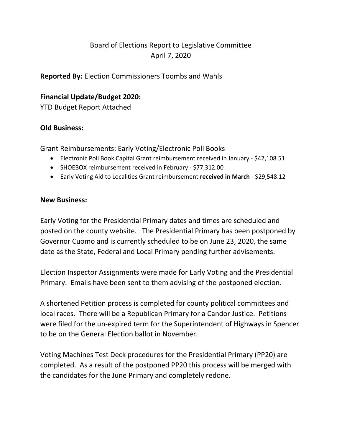# Board of Elections Report to Legislative Committee April 7, 2020

**Reported By:** Election Commissioners Toombs and Wahls

# **Financial Update/Budget 2020:**

YTD Budget Report Attached

# **Old Business:**

Grant Reimbursements: Early Voting/Electronic Poll Books

- Electronic Poll Book Capital Grant reimbursement received in January \$42,108.51
- SHOEBOX reimbursement received in February \$77,312.00
- Early Voting Aid to Localities Grant reimbursement **received in March** \$29,548.12

### **New Business:**

Early Voting for the Presidential Primary dates and times are scheduled and posted on the county website. The Presidential Primary has been postponed by Governor Cuomo and is currently scheduled to be on June 23, 2020, the same date as the State, Federal and Local Primary pending further advisements.

Election Inspector Assignments were made for Early Voting and the Presidential Primary. Emails have been sent to them advising of the postponed election.

A shortened Petition process is completed for county political committees and local races. There will be a Republican Primary for a Candor Justice. Petitions were filed for the un-expired term for the Superintendent of Highways in Spencer to be on the General Election ballot in November.

Voting Machines Test Deck procedures for the Presidential Primary (PP20) are completed. As a result of the postponed PP20 this process will be merged with the candidates for the June Primary and completely redone.